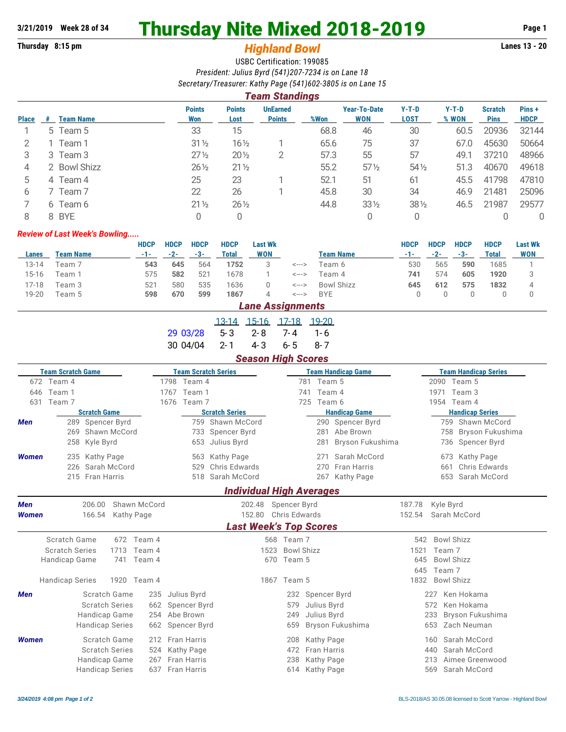# **3/21/2019 Week 28 of 34 Thursday Nite Mixed 2018-2019 Page 1**

## **Thursday 8:15 pm** *Highland Bowl* **Lanes 13 - 20**

USBC Certification: 199085 *President: Julius Byrd (541)207-7234 is on Lane 18 Secretary/Treasurer: Kathy Page (541)602-3805 is on Lane 15*

|              | Team Standings |                  |                      |                       |                                  |      |                                   |                 |                  |                               |                       |
|--------------|----------------|------------------|----------------------|-----------------------|----------------------------------|------|-----------------------------------|-----------------|------------------|-------------------------------|-----------------------|
| <b>Place</b> | #              | <b>Team Name</b> | <b>Points</b><br>Won | <b>Points</b><br>Lost | <b>UnEarned</b><br><b>Points</b> | %Won | <b>Year-To-Date</b><br><b>WON</b> | $Y-T-D$<br>LOST | $Y-T-D$<br>% WON | <b>Scratch</b><br><b>Pins</b> | Pins +<br><b>HDCP</b> |
|              |                | 5 Team 5         | 33                   | 15                    |                                  | 68.8 | 46                                | 30              | 60.5             | 20936                         | 32144                 |
|              |                | 1 Team 1         | $31\frac{1}{2}$      | $16\frac{1}{2}$       |                                  | 65.6 | 75                                | 37              | 67.0             | 45630                         | 50664                 |
| 3            |                | 3 Team 3         | $27\frac{1}{2}$      | $20\%$                | 2                                | 57.3 | 55                                | 57              | 49.1             | 37210                         | 48966                 |
| 4            |                | 2 Bowl Shizz     | $26\frac{1}{2}$      | $21\frac{1}{2}$       |                                  | 55.2 | $57\frac{1}{2}$                   | $54\%$          | 51.3             | 40670                         | 49618                 |
| 5            |                | 4 Team 4         | 25                   | 23                    |                                  | 52.1 | 51                                | 61              | 45.5             | 41798                         | 47810                 |
| 6            |                | 7 Team 7         | 22                   | 26                    |                                  | 45.8 | 30                                | 34              | 46.9             | 21481                         | 25096                 |
|              |                | 6 Team 6         | $21\frac{1}{2}$      | $26\frac{1}{2}$       |                                  | 44.8 | $33\frac{1}{2}$                   | $38\frac{1}{2}$ | 46.5             | 21987                         | 29577                 |
| 8            |                | 8 BYE            |                      |                       |                                  |      | 0                                 | 0               |                  |                               | $\mathbf{0}$          |

#### *Review of Last Week's Bowling.....*

|       |                     | HDCP  | <b>HDCP</b> | <b>HDCP</b>     | <b>HDCP</b> | <b>Last Wk</b> |       |                   | <b>HDCP</b> | <b>HDCP</b> | <b>HDCP</b> | <b>HDCP</b> | <b>Last Wk</b> |
|-------|---------------------|-------|-------------|-----------------|-------------|----------------|-------|-------------------|-------------|-------------|-------------|-------------|----------------|
| Lanes | Team Name           | $-1-$ | $-2-$       | -3-             | Total       | <b>WON</b>     |       | <b>Team Name</b>  | $-1-$       | -2-         | -3-         | Total       | <b>WON</b>     |
| 13-14 | Team 7              | 543   | 645         | 564             | 1752        |                | <---> | Геат 6            | 530         | 565         | 590         | 1685        |                |
| 15-16 | Team 1              | 575   | 582         | 52 <sup>1</sup> | 1678        |                | <---> | Team 4            | 741         | 574         | 605         | 1920        |                |
| 17-18 | Team 3              | 521   | 580         | 535             | 1636        |                | <---> | <b>Bowl Shizz</b> | 645         | 612         | 575         | 1832        |                |
| 19-20 | Геат 5              | 598   | 670         | 599             | 1867        |                | <---> | <b>BYE</b>        |             |             |             |             |                |
|       | l ano Accianmonte l |       |             |                 |             |                |       |                   |             |             |             |             |                |

|                      |  | Eans Aborganismo               |        |  |
|----------------------|--|--------------------------------|--------|--|
|                      |  | <u>13-14 15-16 17-18 19-20</u> |        |  |
| 29 03/28 5-3 2-8 7-4 |  |                                | - 1-6  |  |
| 30 04/04 2-1 4-3 6-5 |  |                                | - 8- 7 |  |

#### *Season High Scores*

|              | <b>Team Scratch Game</b> |                        |              | <b>Team Scratch Series</b> |                                 |                           |               | <b>Team Handicap Game</b> | <b>Team Handicap Series</b> |                         |  |  |
|--------------|--------------------------|------------------------|--------------|----------------------------|---------------------------------|---------------------------|---------------|---------------------------|-----------------------------|-------------------------|--|--|
|              | 672 Team 4               |                        |              | 1798 Team 4                |                                 |                           | 781<br>Team 5 |                           |                             | 2090 Team 5             |  |  |
|              | 646 Team 1               |                        | 1767         | Team 1                     |                                 |                           | Team 4<br>741 |                           |                             | 1971<br>Team 3          |  |  |
| 631          | Team 7                   |                        | 1676         | Team 7                     |                                 |                           | 725<br>Team 6 |                           |                             | 1954 Team 4             |  |  |
|              |                          | <b>Scratch Game</b>    |              |                            | <b>Scratch Series</b>           |                           |               | <b>Handicap Game</b>      |                             | <b>Handicap Series</b>  |  |  |
| Men          |                          | 289 Spencer Byrd       |              |                            | 759 Shawn McCord                |                           |               | 290 Spencer Byrd          |                             | 759 Shawn McCord        |  |  |
|              |                          | 269 Shawn McCord       |              |                            | 733 Spencer Byrd                |                           | 281           | Abe Brown                 |                             | Bryson Fukushima<br>758 |  |  |
|              |                          | 258 Kyle Byrd          |              |                            | 653 Julius Byrd                 |                           | 281           | Bryson Fukushima          |                             | 736 Spencer Byrd        |  |  |
| <b>Women</b> | 235                      | Kathy Page             |              |                            | 563 Kathy Page                  |                           | 271           | Sarah McCord              |                             | Kathy Page<br>673       |  |  |
|              | 226                      | Sarah McCord           |              | 529                        | Chris Edwards                   |                           | 270           | <b>Fran Harris</b>        |                             | Chris Edwards<br>661    |  |  |
|              |                          | 215 Fran Harris        |              |                            | 518 Sarah McCord                |                           | 267           | Kathy Page                |                             | 653 Sarah McCord        |  |  |
|              |                          |                        |              |                            | <b>Individual High Averages</b> |                           |               |                           |                             |                         |  |  |
| <b>Men</b>   |                          | 206.00                 | Shawn McCord |                            | 202.48                          | Spencer Byrd              |               |                           | 187.78                      | Kyle Byrd               |  |  |
| <b>Women</b> |                          | 166.54                 | Kathy Page   |                            | 152.80                          | Chris Edwards             |               |                           | 152.54                      | Sarah McCord            |  |  |
|              |                          |                        |              |                            | <b>Last Week's Top Scores</b>   |                           |               |                           |                             |                         |  |  |
|              | <b>Scratch Game</b>      | 672                    | Team 4       |                            |                                 | 568 Team 7                |               |                           | 542                         | <b>Bowl Shizz</b>       |  |  |
|              | <b>Scratch Series</b>    | 1713                   | Team 4       |                            |                                 | 1523<br><b>Bowl Shizz</b> |               |                           | 1521                        | Team 7                  |  |  |
|              | <b>Handicap Game</b>     | 741                    | Team 4       |                            |                                 | Team 5<br>670             |               |                           | 645                         | <b>Bowl Shizz</b>       |  |  |
|              |                          |                        |              |                            |                                 |                           |               |                           | 645                         | Team 7                  |  |  |
|              | <b>Handicap Series</b>   |                        | 1920 Team 4  |                            |                                 | 1867 Team 5               |               |                           | 1832                        | <b>Bowl Shizz</b>       |  |  |
| Men          |                          | Scratch Game           | 235          | Julius Byrd                |                                 | 232                       | Spencer Byrd  |                           |                             | Ken Hokama<br>227       |  |  |
|              |                          | <b>Scratch Series</b>  | 662          | Spencer Byrd               |                                 | 579                       | Julius Byrd   |                           |                             | Ken Hokama<br>572       |  |  |
|              |                          | Handicap Game          | 254          | Abe Brown                  |                                 | 249                       | Julius Byrd   |                           |                             | 233<br>Bryson Fukushima |  |  |
|              |                          | <b>Handicap Series</b> | 662          | Spencer Byrd               |                                 | 659                       |               | Bryson Fukushima          |                             | 653<br>Zach Neuman      |  |  |
| <b>Women</b> |                          | Scratch Game           | 212          | <b>Fran Harris</b>         |                                 | 208                       | Kathy Page    |                           |                             | Sarah McCord<br>160     |  |  |
|              |                          | <b>Scratch Series</b>  | 524          | Kathy Page                 |                                 | 472                       | Fran Harris   |                           |                             | Sarah McCord<br>440     |  |  |
|              |                          | Handicap Game          | 267          | Fran Harris                |                                 | 238                       | Kathy Page    |                           |                             | Aimee Greenwood<br>213  |  |  |
|              |                          | <b>Handicap Series</b> | 637          | <b>Fran Harris</b>         |                                 | 614                       | Kathy Page    |                           |                             | Sarah McCord<br>569     |  |  |